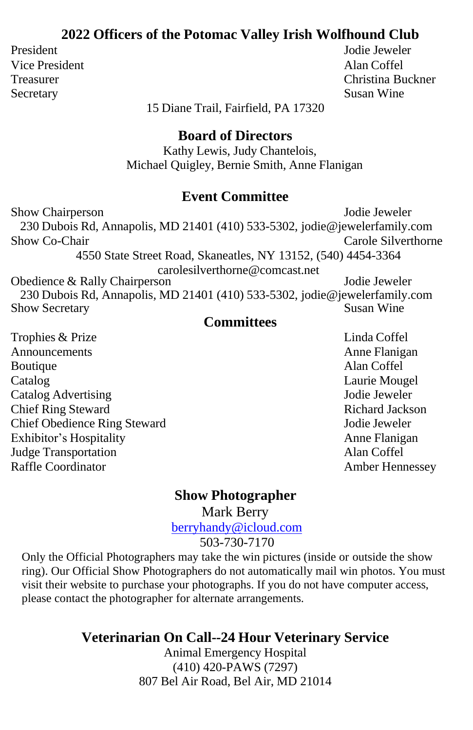#### **2022 Officers of the Potomac Valley Irish Wolfhound Club**

Vice President Alan Coffel Secretary Susan Wine

President Jodie Jeweler Treasurer Christina Buckner

15 Diane Trail, Fairfield, PA 17320

#### **Board of Directors**

Kathy Lewis, Judy Chantelois, Michael Quigley, Bernie Smith, Anne Flanigan

#### **Event Committee**

Show Chairperson Jodie Jeweler 230 Dubois Rd, Annapolis, MD 21401 (410) 533-5302, [jodie@jewelerfamily.com](mailto:jodie@jewelerfamily.com) Show Co-Chair **Carole Silverthorne** Carole Silverthorne 4550 State Street Road, Skaneatles, NY 13152, (540) 4454-3364 carolesilverthorne@comcast.net Obedience & Rally Chairperson Jodie Jeweler 230 Dubois Rd, Annapolis, MD 21401 (410) 533-5302, [jodie@jewelerfamily.com](mailto:jodie@jewelerfamily.com) Show Secretary

#### **Committees**

Trophies & Prize Linda Coffel Announcements Announcements Announcements Boutique Alan Coffel Catalog Laurie Mougel Catalog Advertising Jodie Jeweler Chief Ring Steward **Richard Jackson** Chief Obedience Ring Steward Jodie Jeweler Exhibitor's Hospitality Anne Flanigan Judge Transportation Alan Coffel Raffle Coordinator **Amber Hennessey** 

#### **Show Photographer**

Mark Berry

[berryhandy@icloud.com](mailto:berryhandy@icloud.com)

503-730-7170

Only the Official Photographers may take the win pictures (inside or outside the show ring). Our Official Show Photographers do not automatically mail win photos. You must visit their website to purchase your photographs. If you do not have computer access, please contact the photographer for alternate arrangements.

#### **Veterinarian On Call--24 Hour Veterinary Service**

Animal Emergency Hospital (410) 420-PAWS (7297) 807 Bel Air Road, Bel Air, MD 21014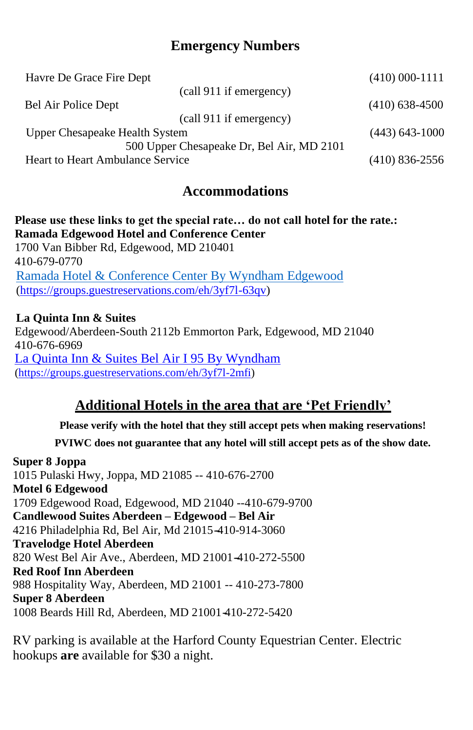#### **Emergency Numbers**

| Havre De Grace Fire Dept                  | $(410) 000 - 1111$ |
|-------------------------------------------|--------------------|
| (call 911 if emergency)                   |                    |
| Bel Air Police Dept                       | $(410)$ 638-4500   |
| (call 911 if emergency)                   |                    |
| Upper Chesapeake Health System            | $(443)$ 643-1000   |
| 500 Upper Chesapeake Dr, Bel Air, MD 2101 |                    |
| Heart to Heart Ambulance Service          | $(410)$ 836-2556   |

#### **Accommodations**

#### **Please use these links to get the special rate… do not call hotel for the rate.: Ramada Edgewood Hotel and Conference Center** 1700 Van Bibber Rd, Edgewood, MD 210401 410-679-0770 [Ramada Hotel & Conference Center By Wyndham Edgewood](https://groups.guestreservations.com/eh/3yf7l-63qv) [\(https://groups.guestreservations.com/eh/3yf7l-63qv\)](https://groups.guestreservations.com/eh/3yf7l-63qv)

#### **La Quinta Inn & Suites**

Edgewood/Aberdeen-South 2112b Emmorton Park, Edgewood, MD 21040 410-676-6969 [La Quinta Inn & Suites Bel Air I 95 By Wyndham](https://groups.guestreservations.com/eh/3yf7l-2mfi) [\(https://groups.guestreservations.com/eh/3yf7l-2mfi\)](https://groups.guestreservations.com/eh/3yf7l-2mfi)

#### **Additional Hotels in the area that are 'Pet Friendly'**

**Please verify with the hotel that they still accept pets when making reservations!**

**PVIWC does not guarantee that any hotel will still accept pets as of the show date.**

#### **Super 8 Joppa**

1015 Pulaski Hwy, Joppa, MD 21085 -- 410-676-2700 **Motel 6 Edgewood** 1709 Edgewood Road, Edgewood, MD 21040 --410-679-9700 **Candlewood Suites Aberdeen – Edgewood – Bel Air** 4216 Philadelphia Rd, Bel Air, Md 21015 - 410-914-3060 **Travelodge Hotel Aberdeen** 820 West Bel Air Ave., Aberdeen, MD 21001-410-272-5500 **Red Roof Inn Aberdeen** 988 Hospitality Way, Aberdeen, MD 21001 -- 410-273-7800 **Super 8 Aberdeen** 1008 Beards Hill Rd, Aberdeen, MD 21001410-272-5420

RV parking is available at the Harford County Equestrian Center. Electric hookups **are** available for \$30 a night.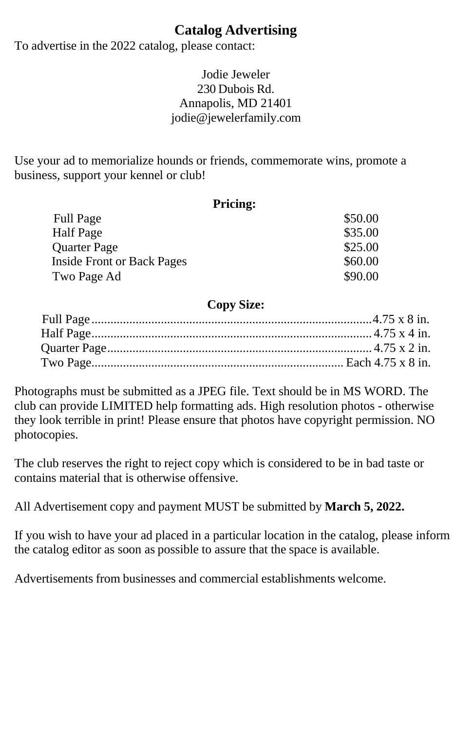#### **Catalog Advertising**

To advertise in the 2022 catalog, please contact:

#### Jodie Jeweler 230 Dubois Rd. Annapolis, MD 21401 [jodie@jewelerfamily.com](mailto:jodie@jewelerfamily.com)

Use your ad to memorialize hounds or friends, commemorate wins, promote a business, support your kennel or club!

| <b>Pricing:</b>                   |         |
|-----------------------------------|---------|
| <b>Full Page</b>                  | \$50.00 |
| <b>Half</b> Page                  | \$35.00 |
| <b>Quarter Page</b>               | \$25.00 |
| <b>Inside Front or Back Pages</b> | \$60.00 |
| Two Page Ad                       | \$90.00 |

#### **Copy Size:**

Photographs must be submitted as a JPEG file. Text should be in MS WORD. The club can provide LIMITED help formatting ads. High resolution photos - otherwise they look terrible in print! Please ensure that photos have copyright permission. NO photocopies.

The club reserves the right to reject copy which is considered to be in bad taste or contains material that is otherwise offensive.

All Advertisement copy and payment MUST be submitted by **March 5, 2022.**

If you wish to have your ad placed in a particular location in the catalog, please inform the catalog editor as soon as possible to assure that the space is available.

Advertisements from businesses and commercial establishments welcome.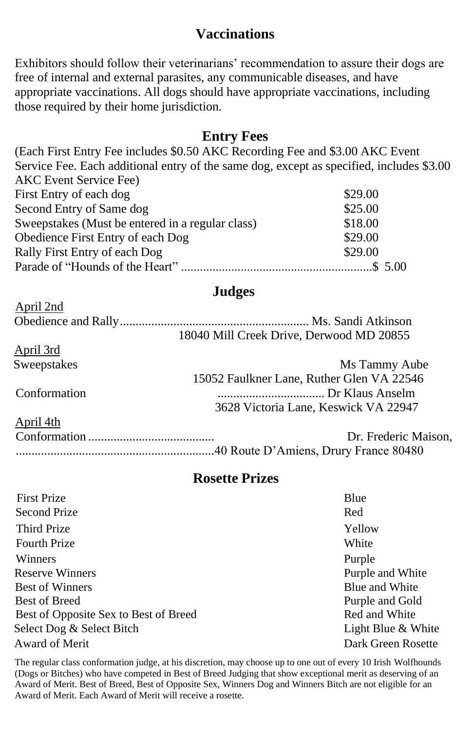#### **Vaccinations**

Exhibitors should follow their veterinarians' recommendation to assure their dogs are free of internal and external parasites, any communicable diseases, and have appropriate vaccinations. All dogs should have appropriate vaccinations, including those required by their home jurisdiction.

#### **Entry Fees**

(Each First Entry Fee includes \$0.50 AKC Recording Fee and \$3.00 AKC Event Service Fee. Each additional entry of the same dog, except as specified, includes \$3.00 AKC Event Service Fee) First Entry of each dog \$29.00 Second Entry of Same dog \$25.00 Sweepstakes (Must be entered in a regular class) \$18.00 Obedience First Entry of each Dog \$29.00 Rally First Entry of each Dog \$29.00 Parade of "Hounds of the Heart" .............................................................\$ 5.00

#### **Judges**

| April 2nd          |                                           |
|--------------------|-------------------------------------------|
|                    |                                           |
|                    | 18040 Mill Creek Drive, Derwood MD 20855  |
| April 3rd          |                                           |
| <b>Sweepstakes</b> | Ms Tammy Aube                             |
|                    | 15052 Faulkner Lane, Ruther Glen VA 22546 |
| Conformation       |                                           |
|                    | 3628 Victoria Lane, Keswick VA 22947      |
| April 4th          |                                           |
|                    | Dr. Frederic Maison,                      |
|                    |                                           |

#### **Rosette Prizes**

| <b>First Prize</b>                    | Blue               |
|---------------------------------------|--------------------|
| <b>Second Prize</b>                   | Red                |
| Third Prize                           | Yellow             |
| <b>Fourth Prize</b>                   | White              |
| Winners                               | Purple             |
| <b>Reserve Winners</b>                | Purple and White   |
| <b>Best of Winners</b>                | Blue and White     |
| Best of Breed                         | Purple and Gold    |
| Best of Opposite Sex to Best of Breed | Red and White      |
| Select Dog & Select Bitch             | Light Blue & White |
| Award of Merit                        | Dark Green Rosette |

The regular class conformation judge, at his discretion, may choose up to one out of every 10 Irish Wolfhounds (Dogs or Bitches) who have competed in Best of Breed Judging that show exceptional merit as deserving of an Award of Merit. Best of Breed, Best of Opposite Sex, Winners Dog and Winners Bitch are not eligible for an Award of Merit. Each Award of Merit will receive a rosette.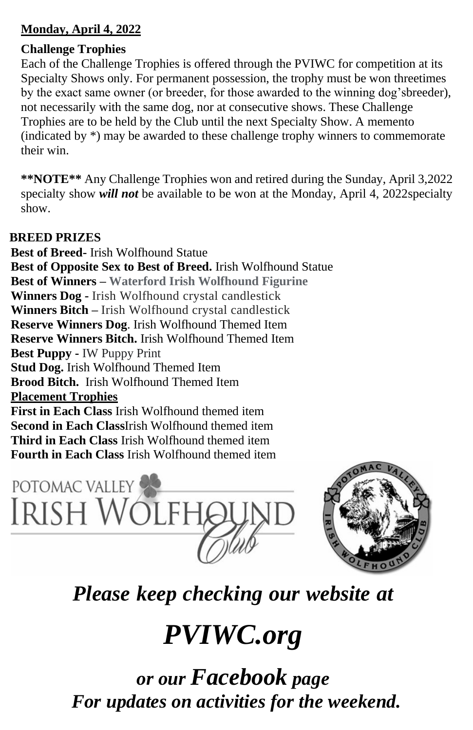#### **Monday, April 4, 2022**

#### **Challenge Trophies**

Each of the Challenge Trophies is offered through the PVIWC for competition at its Specialty Shows only. For permanent possession, the trophy must be won threetimes breeder),

not necessarily with the same dog, nor at consecutive shows. These Challenge Trophies are to be held by the Club until the next Specialty Show. A memento (indicated by \*) may be awarded to these challenge trophy winners to commemorate their win.

**\*\*NOTE\*\*** Any Challenge Trophies won and retired during the Sunday, April 3,2022 specialty show *will not* be available to be won at the Monday, April 4, 2022specialty show.

#### **BREED PRIZES**

**Best of Breed-** Irish Wolfhound Statue **Best of Opposite Sex to Best of Breed.** Irish Wolfhound Statue **Best of Winners – Waterford Irish Wolfhound Figurine Winners Dog -** Irish Wolfhound crystal candlestick **Winners Bitch –** Irish Wolfhound crystal candlestick **Reserve Winners Dog**. Irish Wolfhound Themed Item **Reserve Winners Bitch.** Irish Wolfhound Themed Item **Best Puppy -** IW Puppy Print **Stud Dog.** Irish Wolfhound Themed Item **Brood Bitch.** Irish Wolfhound Themed Item **Placement Trophies First in Each Class** Irish Wolfhound themed item

**Second in Each Class**Irish Wolfhound themed item **Third in Each Class** Irish Wolfhound themed item **Fourth in Each Class** Irish Wolfhound themed item





### *Please keep checking our website at*

## *PVIWC.org*

*or our Facebook page For updates on activities for the weekend.*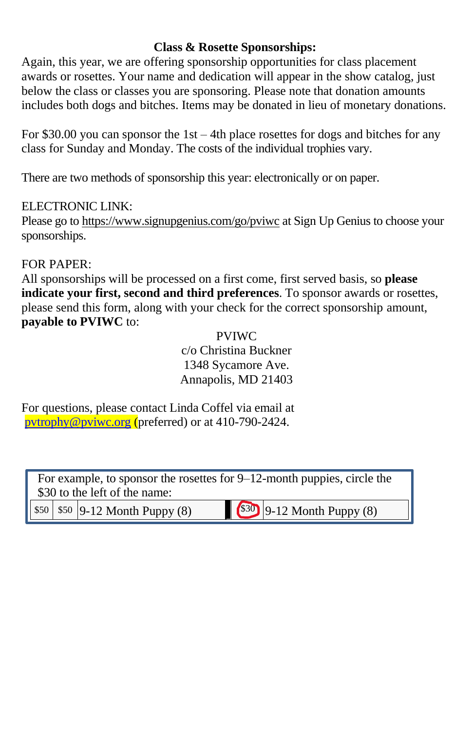#### **Class & Rosette Sponsorships:**

Again, this year, we are offering sponsorship opportunities for class placement awards or rosettes. Your name and dedication will appear in the show catalog, just below the class or classes you are sponsoring. Please note that donation amounts includes both dogs and bitches. Items may be donated in lieu of monetary donations.

For \$30.00 you can sponsor the 1st – 4th place rosettes for dogs and bitches for any class for Sunday and Monday. The costs of the individual trophies vary.

There are two methods of sponsorship this year: electronically or on paper.

#### ELECTRONIC LINK:

Please go to https://www.signupgenius.com/go/pviwc at Sign Up Genius to choose your sponsorships.

#### FOR PAPER:

All sponsorships will be processed on a first come, first served basis, so **please indicate your first, second and third preferences**. To sponsor awards or rosettes, please send this form, along with your check for the correct sponsorship amount, **payable to PVIWC** to:

#### PVIWC

c/o Christina Buckner 1348 Sycamore Ave. Annapolis, MD 21403

For questions, please contact Linda Coffel via email at [pvtrophy@pviwc.org](mailto:pvtrophy@pviwc.org) (preferred) or at 410-790-2424.

For example, to sponsor the rosettes for 9–12-month puppies, circle the \$30 to the left of the name:

 $$50 \mid $50 \mid 9-12 \text{ Month Punov (8)} \mid $30 \mid 9-12 \text{ Month Punov (8)} \mid $42 \mid 9 \mid 12 \text{ month Punov (8)} \mid $31 \mid 9-12 \text{ month Punov (8)} \mid $42 \mid 9 \mid 12 \text{ month Punov (8)} \mid $42 \mid 9 \mid 12 \text{ month Punov (8)} \mid $42 \mid 9 \mid 12 \text{ month Punov (8)} \mid $42 \mid 9 \mid 12 \text{ month Punov (8)} \mid $42 \mid 9 \mid 12 \text{ month Punov (8)} \mid $42 \mid$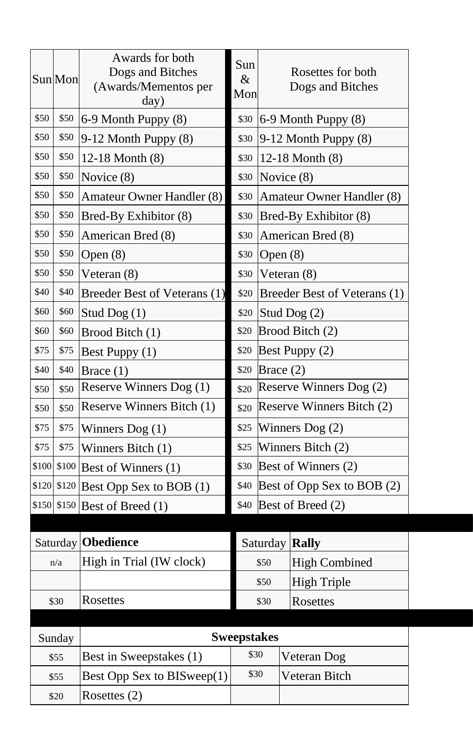|       | Sun Mon | Awards for both<br>Dogs and Bitches<br>(Awards/Mementos per<br>day) | Sun<br>&<br>Mon     | Rosettes for both<br>Dogs and Bitches |  |                              |
|-------|---------|---------------------------------------------------------------------|---------------------|---------------------------------------|--|------------------------------|
| \$50  | \$50    | 6-9 Month Puppy (8)                                                 | \$30                |                                       |  | 6-9 Month Puppy (8)          |
| \$50  | \$50    | 9-12 Month Puppy (8)                                                | \$30                |                                       |  | $9-12$ Month Puppy $(8)$     |
| \$50  | \$50    | 12-18 Month $(8)$                                                   | \$30                |                                       |  | 12-18 Month (8)              |
| \$50  | \$50    | Novice (8)                                                          | \$30                | Novice (8)                            |  |                              |
| \$50  | \$50    | Amateur Owner Handler (8)                                           | \$30                |                                       |  | Amateur Owner Handler (8)    |
| \$50  | \$50    | Bred-By Exhibitor (8)                                               | \$30                |                                       |  | Bred-By Exhibitor (8)        |
| \$50  | \$50    | American Bred (8)                                                   | \$30                |                                       |  | American Bred (8)            |
| \$50  | \$50    | Open $(8)$                                                          | \$30                | Open $(8)$                            |  |                              |
| \$50  | \$50    | Veteran (8)                                                         | \$30                | Veteran $(8)$                         |  |                              |
| \$40  | \$40    | Breeder Best of Veterans (1)                                        | \$20                |                                       |  | Breeder Best of Veterans (1) |
| \$60  | \$60    | Stud Dog $(1)$                                                      | \$20                | Stud Dog (2)                          |  |                              |
| \$60  | \$60    | Brood Bitch (1)                                                     | \$20                |                                       |  | Brood Bitch (2)              |
| \$75  | \$75    | Best Puppy (1)                                                      | \$20                |                                       |  | Best Puppy (2)               |
| \$40  | \$40    | Brace (1)                                                           | \$20                | Brace $(2)$                           |  |                              |
| \$50  | \$50    | Reserve Winners Dog (1)                                             | \$20                |                                       |  | Reserve Winners Dog (2)      |
| \$50  | \$50    | Reserve Winners Bitch (1)                                           | \$20                |                                       |  | Reserve Winners Bitch (2)    |
| \$75  | \$75    | Winners $\text{Dog}(1)$                                             | \$25                |                                       |  | Winners $\text{Dog}(2)$      |
| \$75  | \$75    | Winners Bitch (1)                                                   | \$25                | Winners Bitch (2)                     |  |                              |
| \$100 | \$100   | Best of Winners (1)                                                 | \$30                | Best of Winners (2)                   |  |                              |
| \$120 |         | $$120$ Best Opp Sex to BOB (1)                                      | \$40                | Best of Opp Sex to BOB (2)            |  |                              |
| \$150 |         | \$150 Best of Breed (1)                                             | \$40                | Best of Breed (2)                     |  |                              |
|       |         |                                                                     |                     |                                       |  |                              |
|       |         | Saturday   Obedience                                                |                     | <b>Rally</b><br>Saturday              |  |                              |
|       | n/a     | High in Trial (IW clock)                                            |                     | \$50<br><b>High Combined</b>          |  |                              |
|       |         |                                                                     | High Triple<br>\$50 |                                       |  |                              |
|       | \$30    | Rosettes                                                            | \$30<br>Rosettes    |                                       |  |                              |
|       |         |                                                                     |                     |                                       |  |                              |
|       | Sunday  |                                                                     | <b>Sweepstakes</b>  |                                       |  |                              |
|       | \$55    | Best in Sweepstakes (1)                                             | \$30                |                                       |  | Veteran Dog                  |
|       | \$55    | Best Opp Sex to BISweep(1)                                          | \$30                |                                       |  | Veteran Bitch                |
|       | \$20    | Rosettes (2)                                                        |                     |                                       |  |                              |

L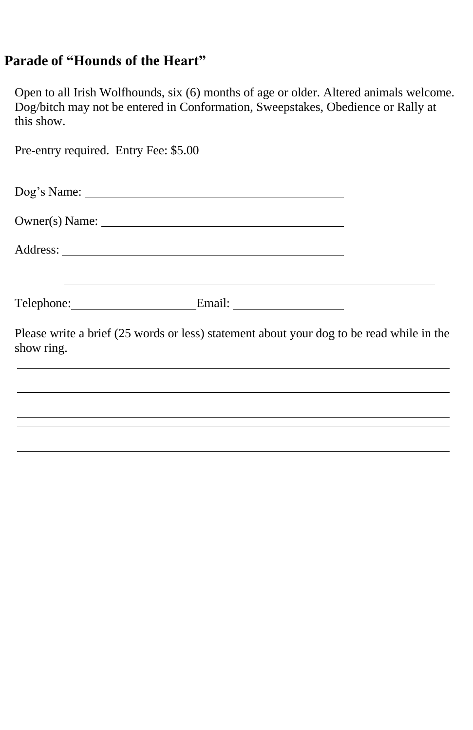#### **Parade of "Hounds of the Heart"**

Open to all Irish Wolfhounds, six (6) months of age or older. Altered animals welcome. Dog/bitch may not be entered in Conformation, Sweepstakes, Obedience or Rally at this show.

| Pre-entry required. Entry Fee: \$5.00 |                                                                                          |  |
|---------------------------------------|------------------------------------------------------------------------------------------|--|
|                                       |                                                                                          |  |
|                                       |                                                                                          |  |
|                                       |                                                                                          |  |
|                                       | Telephone: Email: Email:                                                                 |  |
| show ring.                            | Please write a brief (25 words or less) statement about your dog to be read while in the |  |
|                                       |                                                                                          |  |
|                                       | ,我们也不能会在这里,我们也不能会在这里,我们也不能会在这里,我们也不能会在这里,我们也不能会在这里,我们也不能会在这里,我们也不能会在这里,我们也不能会在这里         |  |
|                                       |                                                                                          |  |